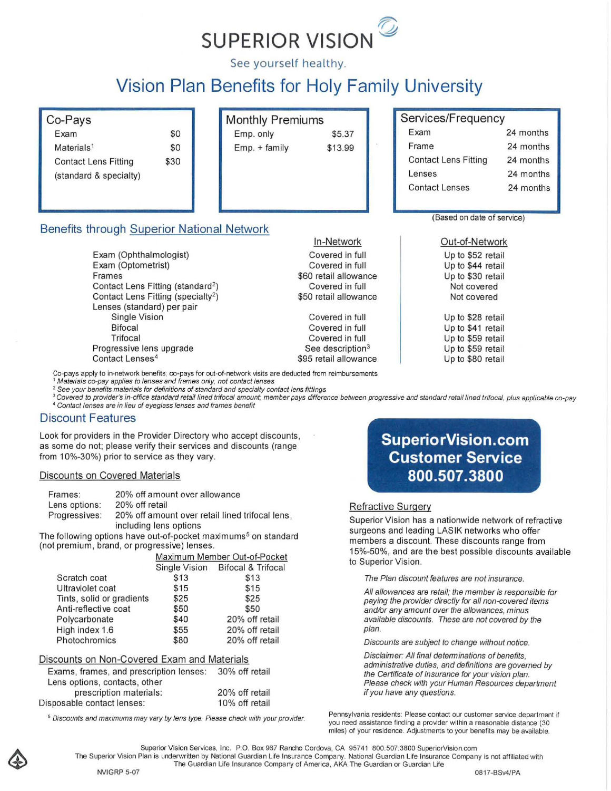

See yourself healthy.

# **Vision Plan Benefits for Holy Family University**

# Co-Pays

| Exam                        | \$O  |
|-----------------------------|------|
| Materials <sup>1</sup>      | \$0  |
| <b>Contact Lens Fitting</b> | \$30 |
| (standard & specialty)      |      |

**Frames** 

| Monthly Premiums |         |
|------------------|---------|
| Emp. only        | \$5.37  |
| $Emp. + family$  | \$13.99 |

# Services/Frequency

| Exam                        | 24 months |
|-----------------------------|-----------|
| Frame                       | 24 months |
| <b>Contact Lens Fitting</b> | 24 months |
| Lenses                      | 24 months |
| <b>Contact Lenses</b>       | 24 months |
|                             |           |

**(Based on date of service)** 

Out-of-Network Up to \$52 retail Up to \$44 retail Up to \$30 retail Not covered Not covered

Up to \$28 retail Up to \$41 retail Up to \$59 retail Up to \$59 retail Up to \$80 retail

Contact Lens Fitting (standard') Contact Lens Fitting (specialty<sup>2</sup>) Lenses (standard) per pair Single Vision Bifocal Trifocal Progressive lens upgrade **Contact Lenses<sup>4</sup>**

Benefits through Superior National Network

Exam (Ophthalmologist) Exam (Optometrist)

Co-pays apply to in-network benefits; co-pays for out-of-network visits are deducted from reimbursements

, **Materials co-pay applies to lenses and frames only. not contact lenses** 

*2* **See your benefits materials for definitions of standard and specialty contact lens fittings** 

<sup>3</sup> Covered to provider's in-office standard retail lined trifocal amount; member pays difference between progressive and standard retail lined trifocal, plus applicable co-pay

In-Network Covered in full Covered in full \$60 retail allowance Covered in full \$50 retail allowance

Covered in full Covered in full Covered in full **See description<sup>3</sup>** \$95 retail allowance

**<sup>4</sup>Contact lenses are in lieu of eyeglass (enses and frames benefit** 

#### Discount Features

Look for providers in the Provider Directory who accept discounts, **as some do not; please verify their services and discounts (range**  from 10%-30%) prior to service as they vary.

#### Discounts on Covered Materials

| Frames:       | 20% off amount over allowance                                             |
|---------------|---------------------------------------------------------------------------|
| Lens options: | 20% off retail                                                            |
| Progressives: | 20% off amount over retail lined trifocal lens.<br>including lens options |

**The following options have out-of-pocket maximums5 on standard (not premium, brand, or progressive) lenses.** 

|                           | Maximum Member Out-of-Pocket |                                  |
|---------------------------|------------------------------|----------------------------------|
|                           |                              | Single Vision Bifocal & Trifocal |
| Scratch coat              | \$13                         | \$13                             |
| Ultraviolet coat          | \$15                         | \$15                             |
| Tints, solid or gradients | \$25                         | \$25                             |
| Anti-reflective coat      | \$50                         | \$50                             |
| Polycarbonate             | \$40                         | 20% off retail                   |
| High index 1.6            | \$55                         | 20% off retail                   |
| Photochromics             | \$80                         | 20% off retail                   |

#### Discounts on Non-Covered Exam and Materials

| Exams, frames, and prescription lenses: | 30% off retail |
|-----------------------------------------|----------------|
| Lens options, contacts, other           |                |
| prescription materials:                 | 20% off retail |
| Disposable contact lenses:              | 10% off retail |

**S Discounts and maximums may vary by (ens type. Please check with your provider.** 

# **Su perio rVision. com Customer Service 800.507.3800**

#### Refractive Surgery

**Superior Vision has a nationwide network of refractive**  surgeons and leading LASIK networks who offer **members a discount. These discounts range from**  15%-50%, and are the best possible discounts available **to Superior Vision.** 

**The Plan discount features are not insurance.** 

**All allowances are retail; the member is responsible for paying the provider directly for all non-covered items and/or any amount over the allowances, minus available discounts. These are not covered by the plan.** 

**Discounts are subject to change withoul notice.** 

**Disclaimer: All final detenninations of benefits, administrative duties, and definitions are governed by the Certificate of Insurance for your vision plan. Please check with your Human Resources department if you have any questions.** 

Pennsylvania residents: Please contact our customer service department if you need assistance finding a provider within a reasonable distance (30 **miles) of your residence. Adjustments to your benefits may be available.** 

**Superior Vision Services, Inc. P.O. Box 967 Rancho Cordova, CA 95741 800.507.3800 SuperiorVision.com The Superior Vision Plan is underwritten by National Guardian Life Insurance Company. National Guardian Life Insurance Company is not affiliated with** 

**The Guardian Life Insurance Company of America, AKA The Guardian or Guardian Life**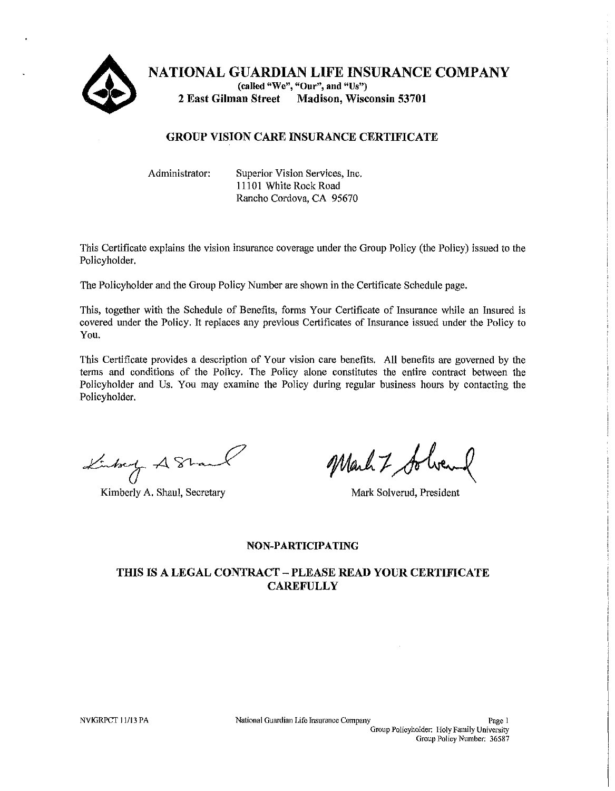

**NATIONAL GUARDIAN LIFE INSURANCE COMPANY (called "We", "Our", and "Us") 2 East Gilman Street Madison, Wisconsin 53701** 

# **GROUP VISION CARE INSURANCE CERTIFICATE**

Administrator: Superior Vision Services, Inc. 11101 White Rock Road Rancho Cordova, CA 95670

This Certificate explains the vision insurance coverage under the Group Policy (the Policy) issued to the Policyholder.

The Policyholder and the Group Policy Number are shown in the Certificate Schedule page.

This, together with the Schedule of Benefits, forms Your Certificate of Insurance while an insured is covered under the Policy. It replaces any previous Certificates of Insurance issued under the Policy to You.

This Certificate provides a description of Your vision care benefits. All benefits are governed by the terms and conditions of the Policy. The Policy alone constitutes the entire contract between the Policyholder and Us. You may examine the Policy during regular business hours by contacting the Policyholder.

Linkey A81

Kimberly A. Shaul, Secretary Mark Solverud, President

Mark 7 to

# **NON-PARTICIPATING**

# **THIS IS A LEGAL CONTRACT - PLEASE READ YOUR CERTIFICATE CAREFULLY**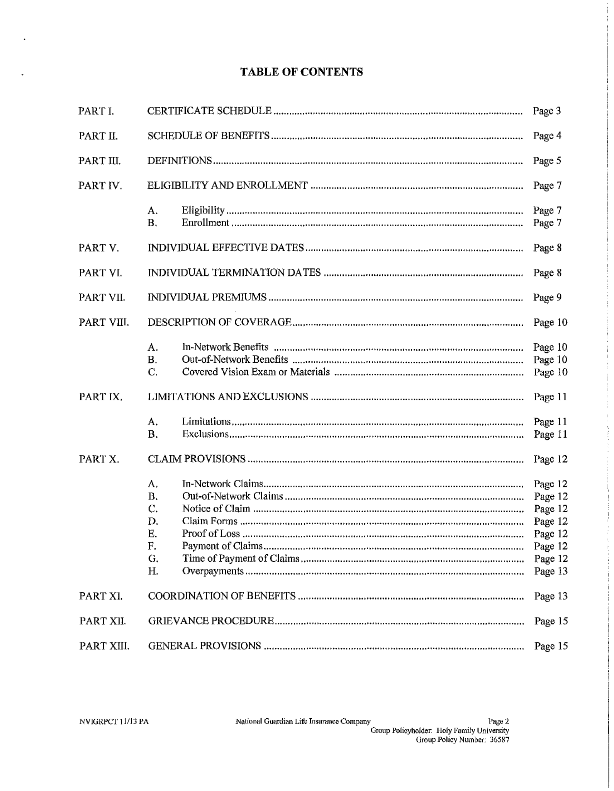# **TABLE OF CONTENTS**

| PART I.    |                                                     | Page 3                                                                               |
|------------|-----------------------------------------------------|--------------------------------------------------------------------------------------|
| PART II.   |                                                     | Page 4                                                                               |
| PART III.  |                                                     | Page 5                                                                               |
| PART IV.   |                                                     | Page 7                                                                               |
|            | А.<br><b>B.</b>                                     | Page 7<br>Page 7                                                                     |
| PART V.    |                                                     | Page 8                                                                               |
| PART VI.   |                                                     | Page 8                                                                               |
| PART VII.  |                                                     | Page 9                                                                               |
| PART VIII. |                                                     | Page 10                                                                              |
|            | A.<br><b>B.</b><br>C.                               | Page 10<br>Page 10<br>Page 10                                                        |
| PART IX.   |                                                     | Page 11                                                                              |
|            | А.<br><b>B.</b>                                     | Page 11<br>Page 11                                                                   |
| PART X.    |                                                     | Page 12                                                                              |
|            | А.<br><b>B.</b><br>C.<br>D.<br>Ε.<br>F.<br>G.<br>Η. | Page 12<br>Page 12<br>Page 12<br>Page 12<br>Page 12<br>Page 12<br>Page 12<br>Page 13 |
| PART XI.   |                                                     | Page 13                                                                              |
| PART XII.  |                                                     | Page 15                                                                              |
| PART XIII. |                                                     | Page 15                                                                              |

 $\ddot{\phantom{a}}$ 

 $\ddot{\phantom{1}}$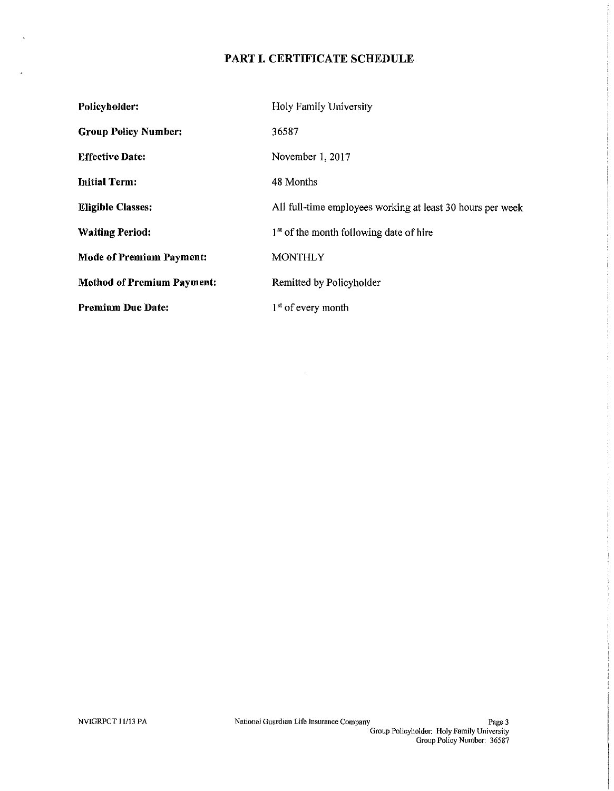# **PART I. CERTIFICATE SCHEDULE**

| <b>Policyholder:</b>              | Holy Family University                                     |
|-----------------------------------|------------------------------------------------------------|
| <b>Group Policy Number:</b>       | 36587                                                      |
| <b>Effective Date:</b>            | November 1, 2017                                           |
| <b>Initial Term:</b>              | 48 Months                                                  |
| <b>Eligible Classes:</b>          | All full-time employees working at least 30 hours per week |
| <b>Waiting Period:</b>            | 1 <sup>st</sup> of the month following date of hire        |
| <b>Mode of Premium Payment:</b>   | <b>MONTHLY</b>                                             |
| <b>Method of Premium Payment:</b> | Remitted by Policyholder                                   |
| <b>Premium Due Date:</b>          | $1st$ of every month                                       |

 $\sim$   $\sim$ 

 $\ddot{\phantom{a}}$ 

 $\ddot{\phantom{a}}$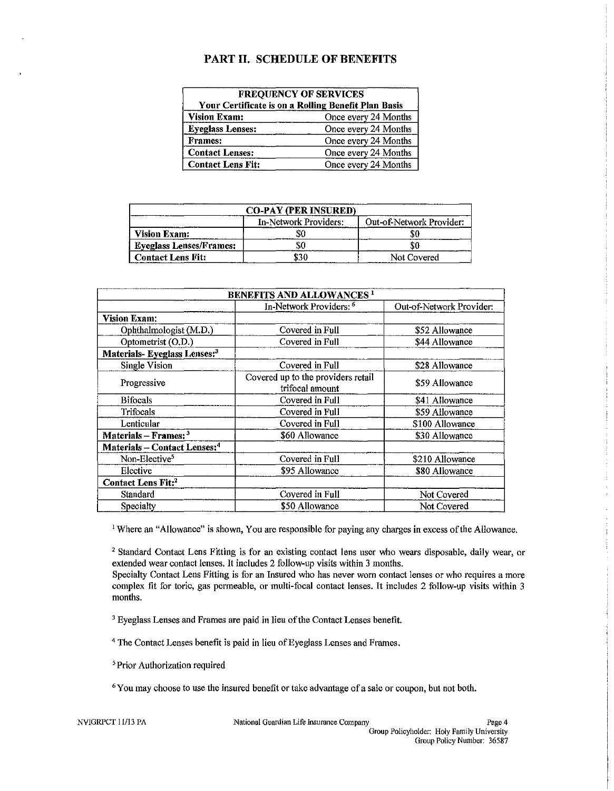# PART II. SCHEDULE OF BENEFITS

| <b>FREQUENCY OF SERVICES</b><br>Your Certificate is on a Rolling Benefit Plan Basis |                      |  |  |
|-------------------------------------------------------------------------------------|----------------------|--|--|
| <b>Vision Exam:</b><br>Once every 24 Months                                         |                      |  |  |
| Once every 24 Months<br><b>Eyeglass Lenses:</b>                                     |                      |  |  |
| <b>Frames:</b>                                                                      | Once every 24 Months |  |  |
| <b>Contact Lenses:</b><br>Once every 24 Months                                      |                      |  |  |
| <b>Contact Lens Fit:</b><br>Once every 24 Months                                    |                      |  |  |

| _________________________      | <b>CO-PAY (PER INSURED)</b> |                          |
|--------------------------------|-----------------------------|--------------------------|
|                                | In-Network Providers:       | Out-of-Network Provider: |
| <b>Vision Exam:</b>            |                             |                          |
| <b>Eyeglass Lenses/Frames:</b> |                             |                          |
| Contact Lens Fit:              | \$30                        | Not Covered              |

| <b>BENEFITS AND ALLOWANCES<sup>1</sup></b> |                                                       |                          |  |
|--------------------------------------------|-------------------------------------------------------|--------------------------|--|
|                                            | In-Network Providers: <sup>6</sup>                    | Out-of-Network Provider: |  |
| <b>Vision Exam:</b>                        |                                                       |                          |  |
| Ophthalmologist (M.D.)                     | Covered in Full                                       | \$52 Allowance           |  |
| Optometrist (O.D.)                         | Covered in Full                                       | \$44 Allowance           |  |
| Materials-Eyeglass Lenses: <sup>3</sup>    |                                                       |                          |  |
| <b>Single Vision</b>                       | Covered in Full                                       | \$28 Allowance           |  |
| Progressive                                | Covered up to the providers retail<br>trifocal amount | \$59 Allowance           |  |
| <b>Bifocals</b>                            | Covered in Full                                       | \$41 Allowance           |  |
| Trifocals                                  | Covered in Full                                       | \$59 Allowance           |  |
| Lenticular                                 | Covered in Full                                       | \$100 Allowance          |  |
| Materials $-$ Frames: $3$                  | \$60 Allowance                                        | \$30 Allowance           |  |
| Materials – Contact Lenses: <sup>4</sup>   |                                                       |                          |  |
| Non-Elective <sup>5</sup>                  | Covered in Full                                       | \$210 Allowance          |  |
| Elective                                   | \$95 Allowance                                        | \$80 Allowance           |  |
| <b>Contact Lens Fit:2</b>                  |                                                       |                          |  |
| <b>Standard</b>                            | Covered in Full                                       | Not Covered              |  |
| Specialty                                  | \$50 Allowance                                        | Not Covered              |  |

<sup>1</sup> Where an "Allowance" is shown, You are responsible for paying any charges in excess of the Allowance.

2 Standard Contact Lens Fitting is for an existing contact lens user who wears disposable, daily wear, or extended wear contact lenses. It includes 2 follow-up visits within 3 months.

Specialty Contact Lens Fitting is for an Insured who has never worn contact lenses or who requires a more complex fit for toric, gas permeable, or multi-focal contact lenses. It includes 2 follow-up visits within 3 months.

<sup>3</sup> Eyeglass Lenses and Frames are paid in lieu of the Contact Lenses benefit.

<sup>4</sup> The Contact Lenses benefit is paid in lieu of Eyeglass Lenses and Frames.

'Prior Authorization required

<sup>6</sup> You may choose to use the insured benefit or take advantage of a sale or coupon, but not both.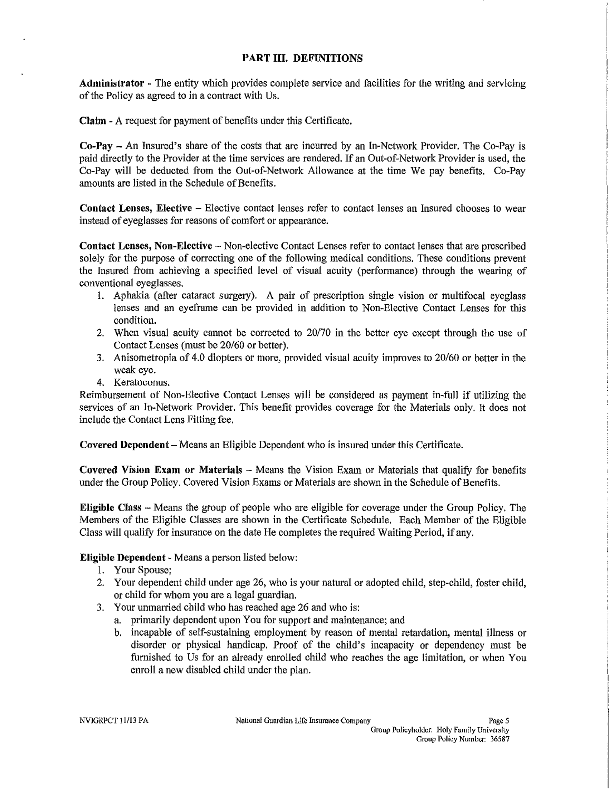#### PART III. DEFINITIONS

Administrator - The entity which provides complete service and facilities for the writing and servicing of the Policy as agreed to in a contract with Us.

Claim - A request for payment of benefits under tbis Certificate.

Co-Pay - An Insured's share of the costs that are incurred by an In-Network Provider. The Co-Pay is paid directly to the Provider at the time services are rendered. If an Out-of-Network Provider is used, the Co-Pay will be deducted from the Out-of-Network Allowance at the time We pay benefits. Co-Pay amounts are listed in the Schedule of Benefits.

Contact Lenses, Elective - Elective contact lenses refer to contact lenses an Insured chooses to wear instead of eyeglasses for reasons of comfort or appearance.

Contact Lenses, Non-Elective - Non-elective Contact Lenses refer to contact lenses that are prescribed solely for the purpose of correcting one of the following medical conditions. These conditions prevent the Insured from achieving a specified level of visual acuity (performance) through the wearing of conventional eyeglasses.

- 1. Aphakia (after cataract surgery). A pair of prescription single vision or multifocal eyeglass lenses and an eyeframe can be provided in addition to Non-Elective Contact Lenses for this condition.
- 2. When visual acuity cannot be corrected to *20170* in the better eye except through the use of Contact Lenses (must be *20160* or hetter).
- 3. Anisometropia of 4.0 diopters or more, provided visual acuity improves to *20160* or better in the weak eye.
- 4. Keratoconus.

Reimbursement of Non-Elective Contact Lenses will be considered as payment in-full if utilizing the services of an In-Network Provider. This benefit provides coverage for the Materials only. It does not include the Contact Lens Fitting fee.

Covered Dependent - Means an Eligible Dependent who is insured under this Certificate.

Covered Vision Exam or Materials  $-$  Means the Vision Exam or Materials that qualify for benefits under the Group Policy. Covered Vision Exams or Materials are shown in the Schedule of Benefits.

Eligible Class - Means the group of people who are eligible for coverage under the Group Policy. The Members of the Eligible Classes are shown in the Certificate Schedule. Each Member of the Eligible Class will qualify for insurance on the date He completes the required Waiting Period, if any.

#### Eligible Dependent - Means a person listed below:

- 1. Your Spouse;
- 2. Your dependent child under age 26, who is your natural or adopted child, step-child, foster child, or child for whom you are a legal guardian.
- 3. Your unmarried child who has reached age 26 and who is:
	- a. primarily dependent upon You for support and maintenance; and
	- b. incapable of self-sustaining employment by reason of mental retardation, mental illness or disorder or physical handicap. Proof of the child's incapacity or dependency must be furnished to Us for an already enrolled child who reaches the age limitation, or when You enroll a new disabled child under the plan.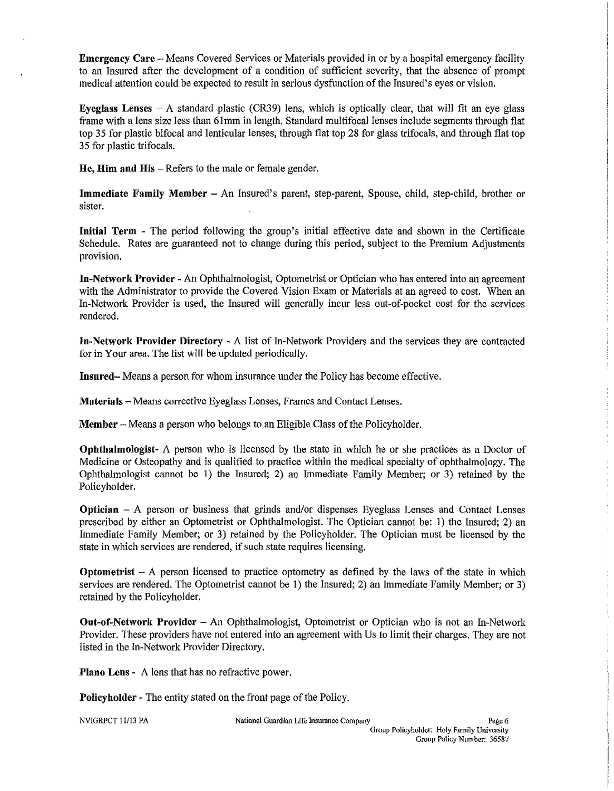Emergency Care - Means Covered Services or Materials provided in or by a hospital emergency facility to an Insured after the development of a condition of sufficient severity, that the absence of prompt medical attention could be expected to result in serious dysfunction of the Insured's eyes or vision.

Eyeglass Lenses  $-A$  standard plastic (CR39) lens, which is optically clear, that will fit an eye glass frame with a lens size less than 61mm in length. Standard multifocallenses include segments through flat top 35 for plastic bifocal and lenticular lenses, through flat top 28 for glass trifocals, and through flat top 35 for plastic trifocals.

He, Him and His – Refers to the male or female gender.

Immediate Family Member - An Insured's parent, step-parent, Spouse, child, step-child, brother or sister.

Initial Term - The period following the group's initial effective date and shown in the Certificate Schedule. Rates are guaranteed not to change during this period, subject to the Premium Adjustments provision.

In-Network Provider - An Ophthalmologist, Optometrist or Optician who has entered into an agreement with the Administrator to provide the Covered Vision Exam or Materials at an agreed to cost. When an In-Network Provider is used, the Insured will generally incur less out-of-pocket cost for the services rendered.

In-Network Provider Directory - A list of In-Network Providers and the services they are contracted for in Your area. The list will be updated periodically.

Insnred- Means a person for whom insurance under the Policy has become effective.

Materials - Means corrective Eyeglass Lenses, Frames and Contact Lenses.

Member – Means a person who belongs to an Eligible Class of the Policyholder.

Ophthalmologist- A person who is licensed by the state in which he or she practices as a Doctor of Medicine or Osteopathy and is qualified to practice within the medical specialty of ophthalmology. The Ophthalmologist cannot be 1) the Insured; 2) an Immediate Family Member; or 3) retained by the Policyholder.

Optician - A person or business that grinds and/or dispenses Eyeglass Lenses and Contact Lenses prescribed by either an Optometrist or Ophthalmologist. The Optician cannot be: 1) the Insured; 2) an Immediate Family Member; or 3) retained by the Policyholder. The Optician must be licensed by the state in which services are rendered, if such state requires licensing.

**Optometrist**  $- A$  person licensed to practice optometry as defined by the laws of the state in which services are rendered. The Optometrist cannot be 1) the Insured; 2) an Immediate Family Member; or 3) retained by the Policyholder.

Ont-of-Network Provider - An Ophthalmologist, Optometrist or Optician who is not an In-Network Provider. These providers have not entered into an agreement with Us to limit their charges. They are not listed in the In-Network Provider Directory.

Plano Lens - A lens that has no refractive power.

**Policyholder -** The entity stated on the front page of the Policy.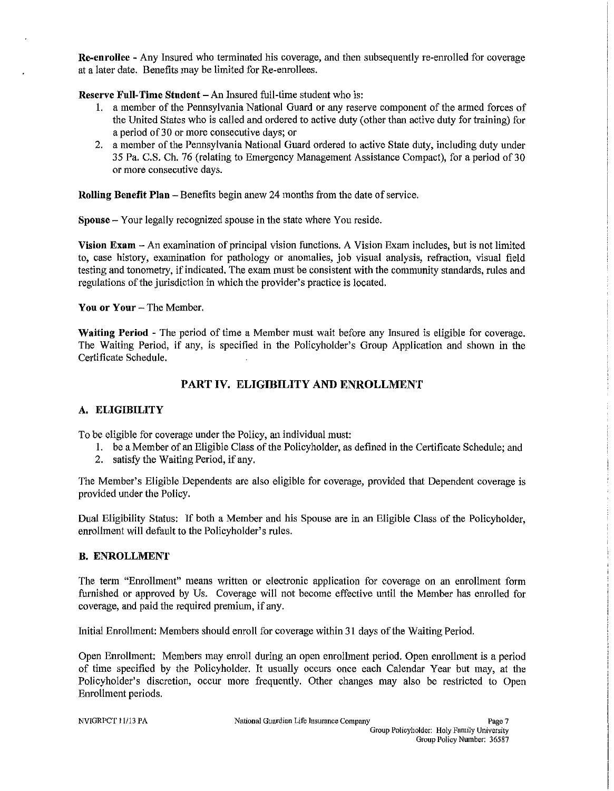Re-enrollee - Any Insured who terminated his coverage, and then subsequently re-enrolled for coverage at a later date. Benefits may be limited for Re-enrollees.

Reserve Full-Time Student - An Insured full-time student who is:

- 1. a member of the Pennsylvania National Guard or any reserve component of the armed forces of the United States who is called and ordered to active duty (other than active duty for training) for a period of 30 or more consecutive days; or
- 2. a member of the Pennsylvania National Guard ordered to active State duty, including duty under 35 Pa. C.S. Ch. 76 (relating to Emergency Management Assistance Compact), for a period of 30 or more consecutive days.

Rolling Benefit Plan - Benefits begin anew 24 months from the date of service.

Spouse - Your legally recognized spouse in the state where You reside.

Vision Exam - An examination of principal vision functions. A Vision Exam includes, but is not limited to, case history, examination for pathology or anomalies, job visual analysis, refraction, visual field testing and tonometry, if indicated. The exam must be consistent with the community standards, rules and regulations of the jurisdiction in which the provider's practice is located.

You or Your - The Member.

Waiting Period - The period of time a Member must wait before any Insured is eligible for coverage. The Waiting Period, if any, is specified in the Policyholder's Group Application and shown in the Certificate Schedule.

# PART IV. ELIGIBILITY AND ENROLLMENT

# A. ELIGIBILITY

To be eligible for coverage under the Policy, an individual must:

- 1. be a Member of an Eligible Class of the Policyholder, as defined in the Certificate Schedule; and
- 2. satisfy the Waiting Period, if any.

The Member's Eligible Dependents are also eligible for coverage, provided that Dependent coverage is provided under the Policy.

Dual Eligibility Status: If both a Member and his Spouse are in an Eligible Class of the Policyholder, enrollment will default to the Policyholder's rules.

#### B. ENROLLMENT

The term "Enrollment" means written or electronic application for coverage on an enrollment form furnished or approved by Us. Coverage wiIl not become effective until the Member has enrolled for coverage, and paid the required premium, if any.

Initial Enrollment: Members should enroll for coverage within 31 days of the Waiting Period.

Open Enrollment: Members may enroll during an open enrollment period. Open enrollment is a period of time specified by the Policyholder. It usually occurs once each Calendar Year but may, at the Policyholder's discretion, occur more frequently. Other changes may also be restricted to Open Enrollment periods.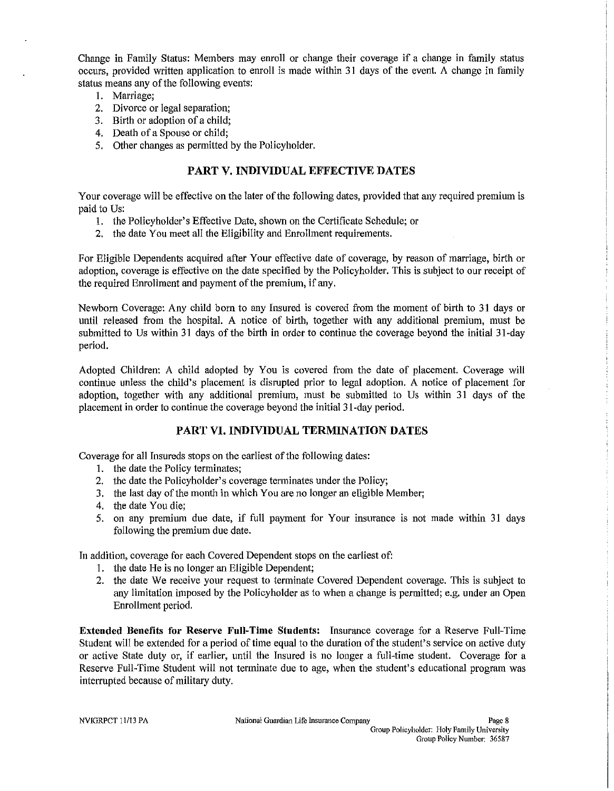Change in Family Status: Members may enroll or change their coverage if a change in family status occurs, provided written application to enroll is made within 31 days of the event. A change in family status means any of the following events:

- I. Marriage;
- 2. Divorce or legal separation;
- 3. Birth or adoption of a child;
- 4. Death of a Spouse or child;
- 5. Other changes as permitted by the Policyholder.

# PART V. INDIVIDUAL EFFECTIVE DATES

Your coverage will be effective on the later of the foIlowing dates, provided that any required premium is paid to Us:

- I. the Policyholder's Effective Date, shown on the Certificate Schedule; or
- 2. the date You meet all the Eligibility and Enrollment requirements.

For Eligible Dependents acquired after Your effective date of coverage, by reason of marriage, birth or adoption, coverage is effective on the date specified by the Policyholder. This is subject to our receipt of the required Enrollment and payment of the premium, if any.

Newborn Coverage: Any child born to any Insured is covered from the moment of birth to 31 days or until released from the hospital. A notice of birth, together with any additional premium, must be submitted to Us within 31 days of the birth in order to continue the coverage beyond the initial 3 I-day period.

Adopted Children: A child adopted by You is covered from the date of placement. Coverage will continue unless the child's placement is disrupted prior to legal adoption. A notice of placement for adoption, together with any additional premium, must be submitted to Us within 31 days of the placement in order to continue the coverage beyond the initial 3 I-day period.

# PART VI. INDIVIDUAL TERMINATION DATES

Coverage for all Insureds stops on the earliest of the following dates:

- I. the date the Policy terminates;
- 2. the date the Policyholder's coverage terminates under the Policy;
- 3. the last day of the month in which You are no longer an eligible Member;
- 4. the date You die;
- 5. on any premium due date, if full payment for Your insurance is not made within 31 days following the premium due date.

In addition, coverage for each Covered Dependent stops on the earliest of:

- I. the date He is no longer an Eligible Dependent;
- 2. the date We receive your request to terminate Covered Dependent coverage. This is subject to any limitation imposed by the Policyholder as to when a change is permitted; e.g. under an Open Enrollment period.

Extended Benefits for Reserve FnIl-Time Stndents: Insurance coverage for a Reserve Full-Time Student will be extended for a period of time equal to the duration of the student's service on active duty or active State duty or, if earlier, until the Insured is no longer a full-time student. Coverage for a Reserve Full-Time Student wiU not terminate due to age, when the student's educational program was interrnpted because of military duty.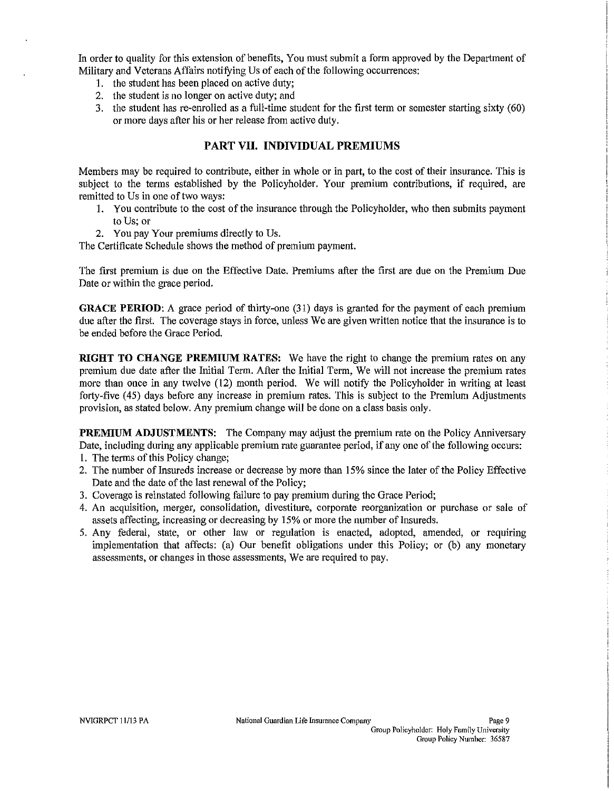In order to quality for this extension of benefits, You must submit a form approved by the Department of Military and Veterans Affairs notifying Us of each of the following occurrences:

- 1. the student has been placed on active duty;
- 2. the student is no longer on active duty; and
- 3. the student has re-enrolled as a full-time student for the first term or semester starting sixty (60) or more days after his or her release from active duty.

### **PART VII. INDIVIDUAL PREMIUMS**

Members may be required to contribute, either in whole or in part, to the cost of their insurance. This is subject to the terms established by the Policyholder. Your premium contributions, if required, are remitted to Us in one of two ways:

- 1. You contribute to the cost of the insurance through the Policyholder, who then submits payment to Us; or
- 2. You pay Your premiums directly to Us.

The Certificate Schedule shows the method of premium payment.

The first premium is due on the Effective Date. Premiums after the first are due on the Premium Due Date or within the grace period.

**GRACE PERIOD:** A grace period of thirty-one (31) days is granted for the payment of each premium due after the first. The coverage stays in force, unless We are given written notice that the insurance is to be ended before the Grace Period.

**RIGHT TO CHANGE PREMIUM RATES:** We have the right to change the premium rates on any premium due date after the Initial Term. After the Initial Term, We will not increase the premium rates more than once in any twelve (12) month period. We will notify the Policyholder in writing at least forty-five (45) days before any increase in premium rates. This is subject to the Premium Adjustments provision, as stated below. Any premium change will be done on a class basis only.

**PREMIUM ADJUSTMENTS:** The Company may adjust the premium rate on the Policy Anniversary Date, including during any applicable premium rate guarantee period, if any one of the following occurs: 1. The terms of this Policy change;

- 2. The number of Insureds increase or decrease by more than 15% since the later of the Policy Effective Date and the date of the last renewal of the Policy;
- 3. Coverage is reinstated following failure to pay premium during the Grace Period;
- 4. An acquisition, merger, consolidation, divestiture, corporate reorganization or purchase or sale of assets affecting, increasing or decreasing by 15% or more the number of Insureds.
- 5. Any federal, state, or other law or regulation is enacted, adopted, amended, or requiring implementation that affects: (a) Our benefit obligations under this Policy; or (b) any monetary assessments, or changes in those assessments, We are required to pay.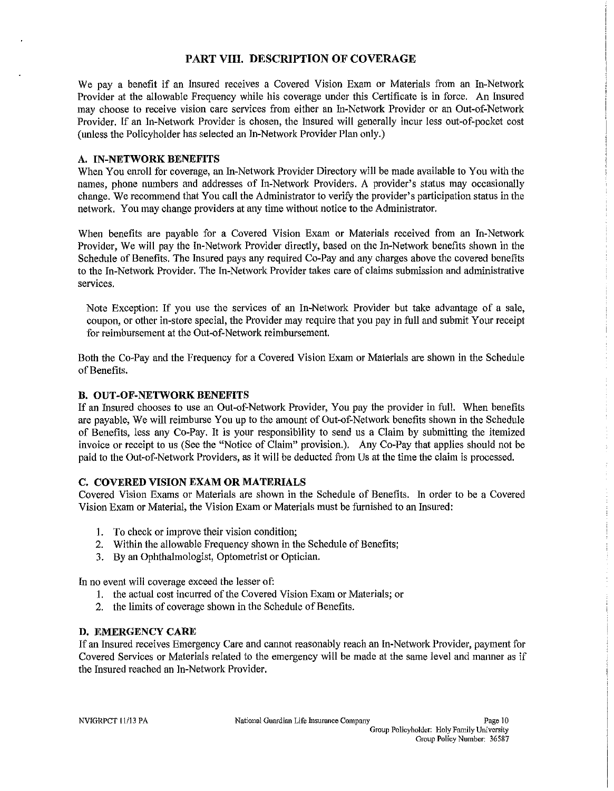# **PART VIII. DESCRIPTION OF COVERAGE**

We pay a benefit if an Insured receives a Covered Vision Exam or Materials from an In-Network Provider at the allowable Frequency while his coverage under this Certificate is in force. An Insured may choose to receive vision care services from either an In-Network Provider or an Out-of-Network Provider. If an In-Network Provider is chosen, the Insured will generally incur less out-of-pocket cost (unless the Policyholder has selected an In-Network Provider Plan only.)

#### A. **IN-NETWORK BENEFITS**

When You enroll for coverage, an In-Network Provider Directory will be made available to You with the names, phone numbers and addresses of In-Network Providers. A provider's status may occasionally change. We recommend that You call the Administrator to verify the provider's participation status in the network. You may change providers at any time without notice to the Administrator.

When benefits are payable for a Covered Vision Exam or Materials received from an In-Network Provider, We will pay the In-Network Provider directly, based on the In-Network benefits shown in the Schedule of Benefits. The Insured pays any required Co-Pay and any charges above the covered benefits to the In-Network Provider. The In-Network Provider takes care of claims submission and administrative services.

Note Exception: If you use the services of an In-Network Provider but take advantage of a sale, coupon, or other in-store special, the Provider may require that you pay in full and submit Your receipt for reimbursement at the Out-of-Network reimbursement.

Both the Co-Pay and the Frequency for a Covered Vision Exam or Materials are shown in the Schedule of Benefits.

#### **B. OUT-OF-NETWORK BENEFITS**

If an Insured chooses to use an Out-of-Network Provider, You pay the provider in full. When benefits are payable, We will reimburse You up to the amount of Out-of-Network benefits shown in the Schedule of Benefits, less any Co-Pay. It is your responsibility to send us a Claim by submitting the itemized invoice or receipt to us (See the "Notice of Claim" provision.). Any Co-Pay that applies should not be paid to the Out-of-Network Providers, as it will be deducted from Us at the time the claim is processed.

#### C. **COVERED VISION EXAM OR MATERIALS**

Covered Vision Exams or Materials are shown in the Schedule of Benefits. In order to be a Covered Vision Exam or Material, the Vision Exam or Materials must be furnished to an Insured:

- I. To check or improve their vision condition;
- 2. Within the allowable Frequency shown in the Schedule of Benefits;
- 3. By an Ophthalmologist, Optometrist or Optician.

In no event will coverage exceed the lesser of:

- 1. the actual cost incurred of the Covered Vision Exam or Materials; or
- 2. the limits of coverage shown in the Schedule of Benefits.

#### **D. EMERGENCY CARE**

If an Insured receives Emergency Care and cannot reasonably reach an In-Network Provider, payment for Covered Services or Materials related to the emergency will be made at the same level and manner as if the Insured reached an In-Network Provider.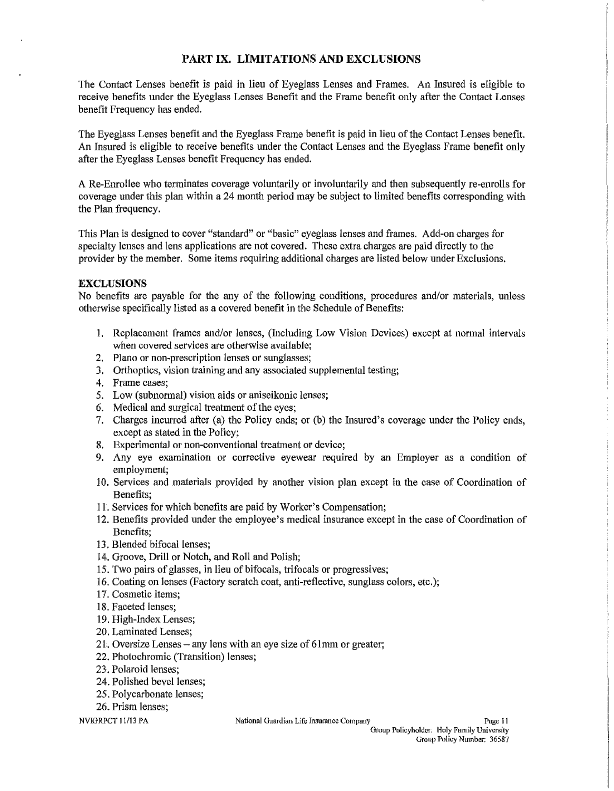# **PART IX. LIMITATIONS AND EXCLUSIONS**

The Contact Lenses benefit is paid in lieu of Eyeglass Lenses and Frames. An Insured is eligible to receive benefits under the Eyeglass Lenses Benefit and the Frame benefit only after the Contact Lenses benefit Frequency has ended.

The Eyeglass Lenses benefit and the Eyeglass Frame benefit is paid in lieu of the Contact Lenses benefit. An Insured is eligible to receive benefits under the Contact Lenses and the Eyeglass Frame benefit only after the Eyeglass Lenses benefit Frequency has ended.

A Re-Enrollee who terminates coverage voluntarily or involuntarily and then subsequently re-enrolls for coverage under this plan within a 24 month period may be snbject to limited benefits corresponding with the Plan frequency.

This Plan is designed to cover "standard" or "basic" eyeglass lenses and frames. Add-on charges for specialty lenses and lens applications are not covered. These extra charges are paid directly to the provider by the member. Some items requiring additional charges are listed below under Exclusions.

#### **EXCLUSIONS**

No benefits are payable for the any of the following conditions, procedures and/or materials, unless otherwise specifically listed as a covered benefit in the Schedule of Benefits:

- 1. Replacement frames *andlor* lenses, (Including Low Vision Devices) except at normal intervals when covered services are otherwise available;
- 2. Plano or non-prescription lenses or sunglasses;
- 3. Orthoptics, vision training and any associated supplemental testing;
- 4. Frame cases;
- 5. Low (subnormal) vision aids or aniseikonic lenses;
- 6. Medical and surgical treatment of the eyes;
- 7. Charges incurred after (a) the Policy ends; or (b) the Insured's coverage under the Policy ends, except as stated in the Policy;
- 8. Experimental or non-conventional treatment or device;
- 9. Any eye examination or corrective eyewear required by an Employer as a condition of employment;
- 10. Services and materials provided by another vision plan except in the case of Coordination of Benefits;
- 11. Services for which benefits are paid by Worker's Compensation;
- 12. Benefits provided under the employee's medical insurance except in the case of Coordination of Benefits;
- 13. Blended bifocal lenses;
- 14. Groove, Drill or Notch, and Roll and Polish;
- 15. Two pairs of glasses, in lieu of bifocals, trifocals or progressives;
- 16. Coating on lenses (Factory scratch coat, anti-reflective, sunglass colors, etc.);
- 17. Cosmetic items;
- 18. Faceted lenses;
- 19. High-Index Lenses;
- 20. Laminated Lenses;
- $21$ . Oversize Lenses any lens with an eye size of 61mm or greater;
- 22. Photochromic (Transition) lenses;
- 23. Polaroid lenses;
- 24. Polished bevel lenses;
- 25. Polycarbonate lenses;
- 26. Prism lenses;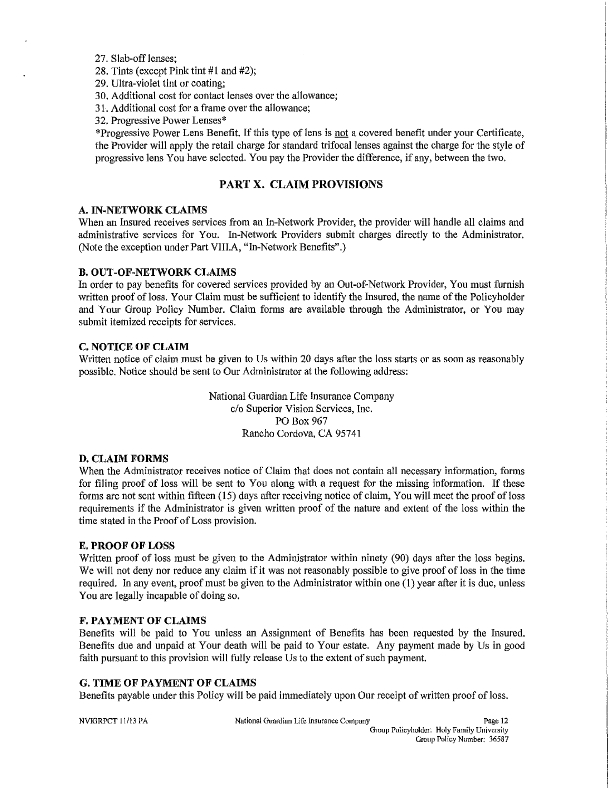#### 27. Slab-off lenses;

28. Tints (except Pink tint #1 and #2);

- 29. Ultra-violet tint or coating;
- 30. Additional cost for contact lenses over the allowance;
- 31. Additional cost for a frame over the allowance;
- 32. Progressive Power Lenses·

'Progressive Power Lens Benefit. If this type of lens is not a covered benefit under your Certificate, the Provider will apply the retail charge for standard trifocal lenses against the charge for the style of progressive lens You have selected. You pay the Provider the difference, if any, between the two.

### PART X. CLAIM PROVISIONS

#### A. IN-NETWORK CLAIMS

When an Insured receives services from an In-Network Provider, the provider will handle all claims and administrative services for You. In-Network Providers submit charges directly to the Administrator. (Note the exception under Part VIll.A, "In-Network Benefits".)

#### B. OUT -OF-NETWORK CLAIMS

In order to pay benefits for covered services provided by an Out-of-Network Provider, You must furnish written proof of loss. Your Claim must be sufficient to identify the Insured, the name of the Policyholder and Your Group Policy Number. Claim forms are available through the Administrator, or You may submit itemized receipts for services.

#### C. NOTICE OF CLAIM

Written notice of claim must be given to Us within 20 days after the loss starts or as soon as reasonably possible. Notice should be sent to Our Administrator at the following address:

> National Guardian Life Insurance Company c/o Superior Vision Services, Inc. PO Box 967 Rancho Cordova, CA 95741

#### D. CLAIM FORMS

When the Administrator receives notice of Claim that does not contain all necessary information, forms for filing proof of loss will be sent to You along with a request for the missing information. If these forms are not sent within fifteen (15) days after receiving notice of claim, You wiIl meet the proof of loss requirements if the Administrator is given written proof of the nature and extent of the loss within the time stated in the Proof of Loss provision.

#### E. PROOF OF LOSS

Written proof of loss must be given to the Administrator within ninety (90) days after the loss begins. We will not deny nor reduce any claim if it was not reasonably possible to give proof of loss in the time required. In any event, proof must be given to the Administrator within one (I) year after it is due, unless You are legally incapable of doing so.

#### F. PAYMENT OF CLAIMS

Benefits will be paid to You unless an Assignment of Benefits has been requested by the Insured. Benefits due and unpaid at Your death will be paid to Your estate. Any payment made by Us in good faith pursuant to this provision will fully release Us to the extent of such payment.

#### G. TIME OF PAYMENT OF CLAIMS

Benefits payable under this Policy will be paid immediately upon Our receipt of written proof of loss.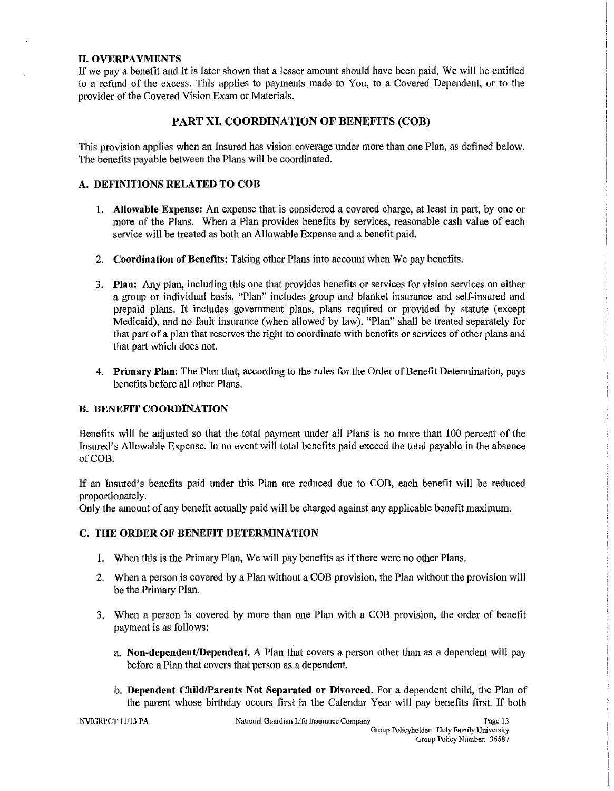#### H. OVERPAYMENTS

If we pay a benefit and it is later shown that a lesser amount should have been paid, We will be entitled to a refund of the excess. This applies to payments made to You, to a Covered Dependent, or to the provider of the Covered Vision Exam or Materials.

# PART XI. COORDINATION OF BENEFITS (COB)

This provision applies when an Insured has vision coverage under more than one Plan, as defined below. The benefits payable between the Plans will be coordinated.

#### A. DEFINITIONS RELATED TO COB

- I. Allowable Expense: An expense that is considered a covered charge, at least in part, by one or more of the Plans. When a Plan provides benefits by services, reasonable cash value of each service will be treated as both an Allowable Expense and a benefit paid.
- 2. Coordination of Benefits: Taking other Plans into account when We pay benefits.
- 3. Plan: Any plan, including this one that provides benefits or services for vision services on either a group or individual basis. "Plan" includes group and blanket insurance and self-insured and prepaid plans. It includes govermnent plans, plans required or provided by statute (except Medicaid), and no fault insurance (when allowed by law). "Plan" shall be treated separately for that part of a plan that reserves the right to coordinate with benefits or services of other plans and that part which does not.
- 4. Primary Plan: The Plan that, according to the rules for the Order of Benefit Determination, pays benefits before a1l other Plans.

# B. BENEFIT COORDINATION

Benefits will be adjusted so that the total payment under all Plans is no more than 100 percent of the Insured's Allowable Expense. In no event will total benefits paid exceed the total payable in the absence of COB.

If an Insured's benefits paid under this Plan are reduced due to COB, each benefit will be reduced proportionately.

Only the amount of any benefit actually paid will be charged against any applicable beoefit maximum.

#### C. THE ORDER OF BENEFIT DETERMINATION

- I. When this is the Primary Plan, We will pay benefits as if there were no other Plans.
- 2. When a person is covered by a Plan without a COB provision, the Plan without the provision will be the Primary Plan.
- 3. When a person is covered by more than one Plan with a COB provision, the order of benefit payment is as follows:
	- a. Non-dependent/Dependent. A Plan that covers a person other than as a dependent will pay before a Plan that covers that person as a dependent.
	- b. Dependent Child/Parents Not Separated or Divorced. For a dependent child, the Plan of the parent whose birthday occurs first in the Calendar Year will pay henefits first. If both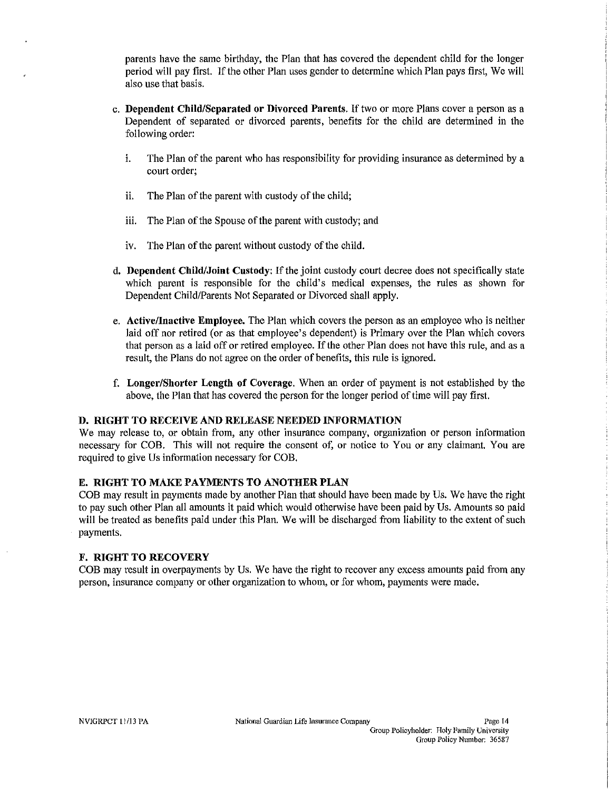parents have the same birthday, the Plan that has covered the dependent child for the longer period will pay first. If the other Plan uses gender to determine which Plan pays first, We will also use that basis.

- c. Dependent Child/Separated or Divorced Parents. If two or more Plans cover a person as a Dependent of separated or divorced parents, benefits for the child are determined in the following order:
	- i. The Plan of the parent who has responsibility for providing insurance as determined by a court order;
	- ii. The Plan of the parent with custody of the child;
	- iii. The Plan of the Spouse of the parent with custody; and
	- iv. The Plan of the parent without custody of the child.
- d. Dependent Child/Joint Custody: If the joint custody court decree does not specifically state which parent is responsible for the child's medical expenses, the rules as shown for Dependent Child/Parents Not Separated or Divorced shall apply.
- e. Active/Inactive Employee. The Plan which covers the person as an employee who is neither laid off nor retired (or as that employee's dependent) is Primary over the Plan which covers that person as a laid off or retired employee. If the other Plan does not have this rule, and as a result, the Plans do not agree on the order of benefits, this rule is ignored.
- f. Longer/Shorter Length of Coverage. When an order of payment is not established by the above, the Plan that has covered the person for the longer period of time will pay first.

#### D. RIGHT TO RECEIVE AND RELEASE NEEDED INFORMATION

We may release to, or obtain from, any other insurance company, organization or person information necessary for COB. This will not require the consent of, or notice to You or any claimant. You are required to give Us information necessary for COB.

#### E. RIGHT TO MAKE PAYMENTS TO ANOTHER PLAN

COB may resnlt in payments made by another Plan that should have been made by Us. We have the right to pay such other Plan all amounts it paid which would otherwise have been paid by Us. Amonnts so paid will be treated as benefits paid under this Plan. We will be discharged from liability to the extent of such payments.

#### F. RIGHT TO RECOVERY

COB may result in overpayments by Us. We have the right to recover any excess amounts paid from any person, insurance company or other organization to whom, or for whom, payments were made.